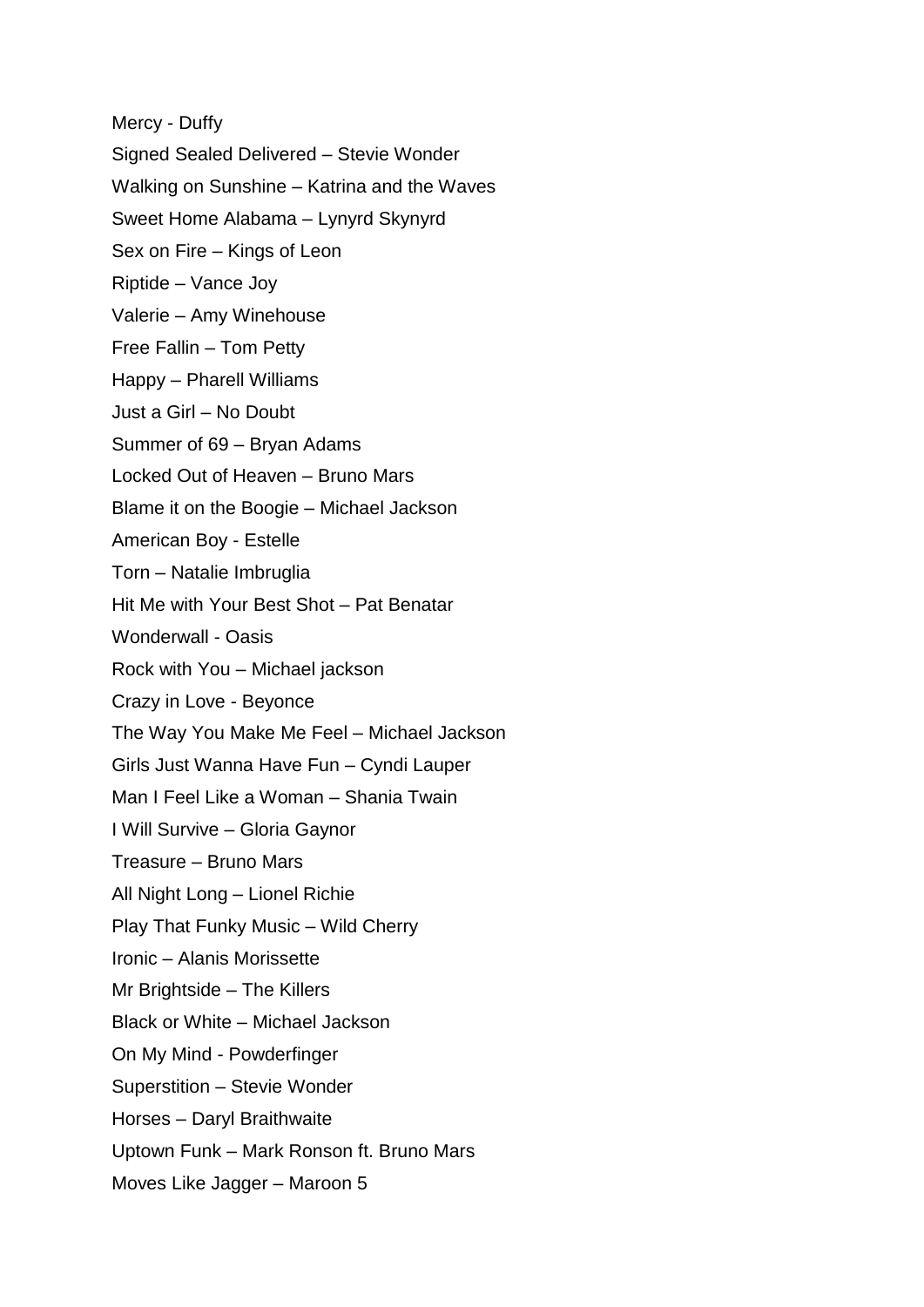Mercy - Duffy Signed Sealed Delivered – Stevie Wonder Walking on Sunshine – Katrina and the Waves Sweet Home Alabama – Lynyrd Skynyrd Sex on Fire – Kings of Leon Riptide – Vance Joy Valerie – Amy Winehouse Free Fallin – Tom Petty Happy – Pharell Williams Just a Girl – No Doubt Summer of 69 – Bryan Adams Locked Out of Heaven – Bruno Mars Blame it on the Boogie – Michael Jackson American Boy - Estelle Torn – Natalie Imbruglia Hit Me with Your Best Shot – Pat Benatar Wonderwall - Oasis Rock with You – Michael jackson Crazy in Love - Beyonce The Way You Make Me Feel – Michael Jackson Girls Just Wanna Have Fun – Cyndi Lauper Man I Feel Like a Woman – Shania Twain I Will Survive – Gloria Gaynor Treasure – Bruno Mars All Night Long – Lionel Richie Play That Funky Music – Wild Cherry Ironic – Alanis Morissette Mr Brightside – The Killers Black or White – Michael Jackson On My Mind - Powderfinger Superstition – Stevie Wonder Horses – Daryl Braithwaite Uptown Funk – Mark Ronson ft. Bruno Mars Moves Like Jagger – Maroon 5